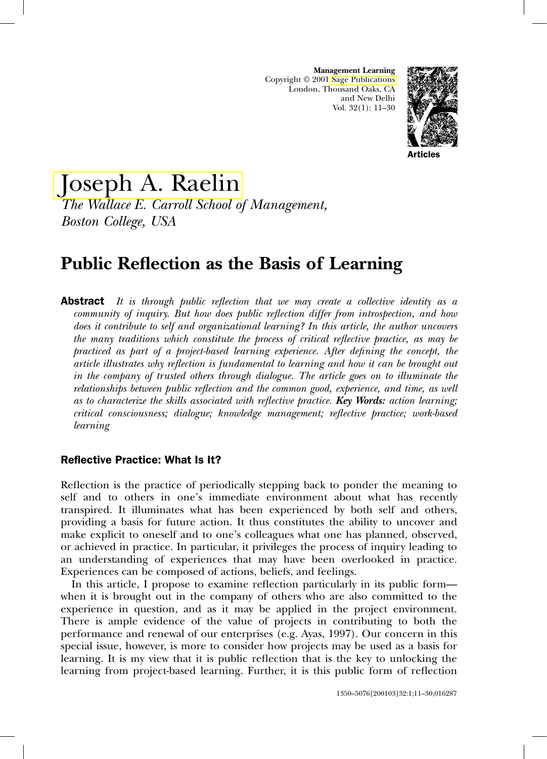**Management Learning** Copyright © 2001 [Sage Publications](http:\\www.sagepub.co.uk) London, Thousand Oaks, CA and New Delhi Vol. 32(1): 11–30



Articles

# [Joseph A. Raelin](#page-19-0)

*The Wallace E. Carroll School of Management, Boston College, USA*

# **Public Reflection as the Basis of Learning**

Abstract *It is through public reflection that we may create a collective identity as a community of inquiry. But how does public reflection differ from introspection, and how does it contribute to self and organizational learning? In this article, the author uncovers the many traditions which constitute the process of critical reflective practice, as may be practiced as part of a project-based learning experience. After defining the concept, the article illustrates why reflection is fundamental to learning and how it can be brought out in the company of trusted others through dialogue. The article goes on to illuminate the relationships between public reflection and the common good, experience, and time, as well as to characterize the skills associated with reflective practice. Key Words: action learning; critical consciousness; dialogue; knowledge management; reflective practice; work-based learning*

# Reflective Practice: What Is It?

Reflection is the practice of periodically stepping back to ponder the meaning to self and to others in one's immediate environment about what has recently transpired. It illuminates what has been experienced by both self and others, providing a basis for future action. It thus constitutes the ability to uncover and make explicit to oneself and to one's colleagues what one has planned, observed, or achieved in practice. In particular, it privileges the process of inquiry leading to an understanding of experiences that may have been overlooked in practice. Experiences can be composed of actions, beliefs, and feelings.

In this article, I propose to examine reflection particularly in its public form when it is brought out in the company of others who are also committed to the experience in question, and as it may be applied in the project environment. There is ample evidence of the value of projects in contributing to both the performance and renewal of our enterprises (e.g. Ayas, 1997). Our concern in this special issue, however, is more to consider how projects may be used as a basis for learning. It is my view that it is public reflection that is the key to unlocking the learning from project-based learning. Further, it is this public form of reflection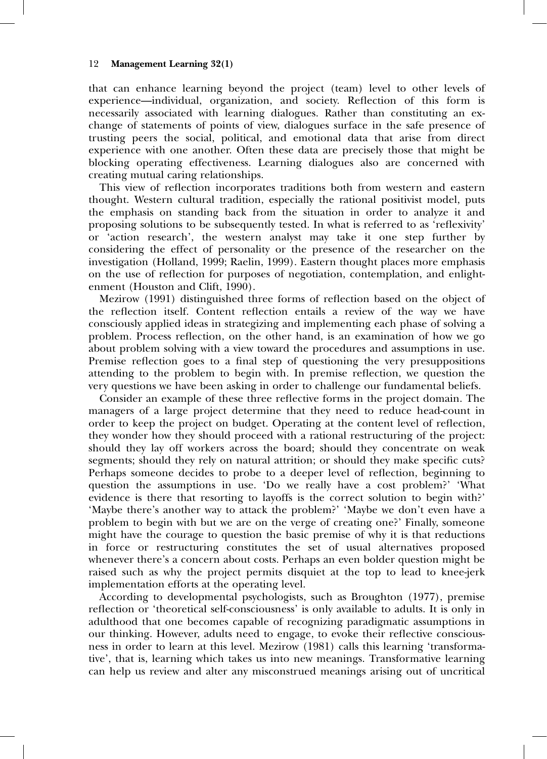that can enhance learning beyond the project (team) level to other levels of experience—individual, organization, and society. Reflection of this form is necessarily associated with learning dialogues. Rather than constituting an exchange of statements of points of view, dialogues surface in the safe presence of trusting peers the social, political, and emotional data that arise from direct experience with one another. Often these data are precisely those that might be blocking operating effectiveness. Learning dialogues also are concerned with creating mutual caring relationships.

This view of reflection incorporates traditions both from western and eastern thought. Western cultural tradition, especially the rational positivist model, puts the emphasis on standing back from the situation in order to analyze it and proposing solutions to be subsequently tested. In what is referred to as 'reflexivity' or 'action research', the western analyst may take it one step further by considering the effect of personality or the presence of the researcher on the investigation (Holland, 1999; Raelin, 1999). Eastern thought places more emphasis on the use of reflection for purposes of negotiation, contemplation, and enlightenment (Houston and Clift, 1990).

Mezirow (1991) distinguished three forms of reflection based on the object of the reflection itself. Content reflection entails a review of the way we have consciously applied ideas in strategizing and implementing each phase of solving a problem. Process reflection, on the other hand, is an examination of how we go about problem solving with a view toward the procedures and assumptions in use. Premise reflection goes to a final step of questioning the very presuppositions attending to the problem to begin with. In premise reflection, we question the very questions we have been asking in order to challenge our fundamental beliefs.

Consider an example of these three reflective forms in the project domain. The managers of a large project determine that they need to reduce head-count in order to keep the project on budget. Operating at the content level of reflection, they wonder how they should proceed with a rational restructuring of the project: should they lay off workers across the board; should they concentrate on weak segments; should they rely on natural attrition; or should they make specific cuts? Perhaps someone decides to probe to a deeper level of reflection, beginning to question the assumptions in use. 'Do we really have a cost problem?' 'What evidence is there that resorting to layoffs is the correct solution to begin with?' 'Maybe there's another way to attack the problem?' 'Maybe we don't even have a problem to begin with but we are on the verge of creating one?' Finally, someone might have the courage to question the basic premise of why it is that reductions in force or restructuring constitutes the set of usual alternatives proposed whenever there's a concern about costs. Perhaps an even bolder question might be raised such as why the project permits disquiet at the top to lead to knee-jerk implementation efforts at the operating level.

According to developmental psychologists, such as Broughton (1977), premise reflection or 'theoretical self-consciousness' is only available to adults. It is only in adulthood that one becomes capable of recognizing paradigmatic assumptions in our thinking. However, adults need to engage, to evoke their reflective consciousness in order to learn at this level. Mezirow (1981) calls this learning 'transformative', that is, learning which takes us into new meanings. Transformative learning can help us review and alter any misconstrued meanings arising out of uncritical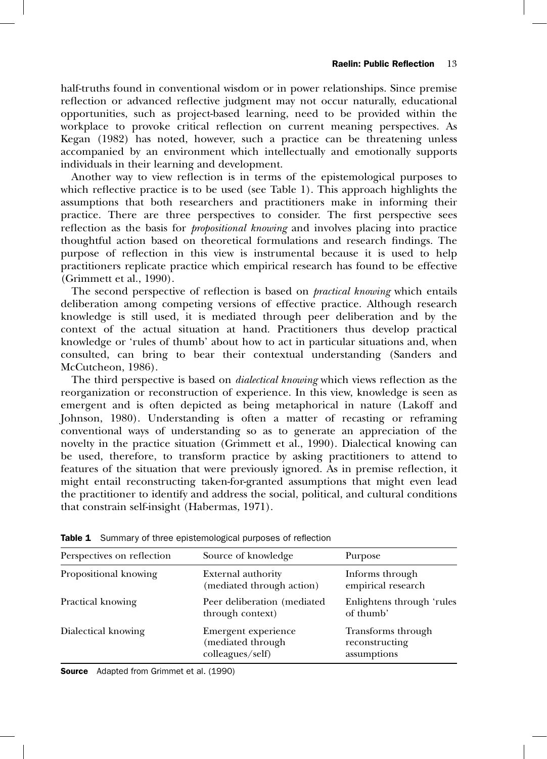half-truths found in conventional wisdom or in power relationships. Since premise reflection or advanced reflective judgment may not occur naturally, educational opportunities, such as project-based learning, need to be provided within the workplace to provoke critical reflection on current meaning perspectives. As Kegan (1982) has noted, however, such a practice can be threatening unless accompanied by an environment which intellectually and emotionally supports individuals in their learning and development.

Another way to view reflection is in terms of the epistemological purposes to which reflective practice is to be used (see Table 1). This approach highlights the assumptions that both researchers and practitioners make in informing their practice. There are three perspectives to consider. The first perspective sees reflection as the basis for *propositional knowing* and involves placing into practice thoughtful action based on theoretical formulations and research findings. The purpose of reflection in this view is instrumental because it is used to help practitioners replicate practice which empirical research has found to be effective (Grimmett et al., 1990).

The second perspective of reflection is based on *practical knowing* which entails deliberation among competing versions of effective practice. Although research knowledge is still used, it is mediated through peer deliberation and by the context of the actual situation at hand. Practitioners thus develop practical knowledge or 'rules of thumb' about how to act in particular situations and, when consulted, can bring to bear their contextual understanding (Sanders and McCutcheon, 1986).

The third perspective is based on *dialectical knowing* which views reflection as the reorganization or reconstruction of experience. In this view, knowledge is seen as emergent and is often depicted as being metaphorical in nature (Lakoff and Johnson, 1980). Understanding is often a matter of recasting or reframing conventional ways of understanding so as to generate an appreciation of the novelty in the practice situation (Grimmett et al., 1990). Dialectical knowing can be used, therefore, to transform practice by asking practitioners to attend to features of the situation that were previously ignored. As in premise reflection, it might entail reconstructing taken-for-granted assumptions that might even lead the practitioner to identify and address the social, political, and cultural conditions that constrain self-insight (Habermas, 1971).

| Perspectives on reflection | Source of knowledge                                          |                                                     |  |
|----------------------------|--------------------------------------------------------------|-----------------------------------------------------|--|
| Propositional knowing      | External authority<br>(mediated through action)              | Informs through<br>empirical research               |  |
| Practical knowing          | Peer deliberation (mediated)<br>through context)             | Enlightens through 'rules<br>of thumb'              |  |
| Dialectical knowing        | Emergent experience<br>(mediated through<br>colleagues/self) | Transforms through<br>reconstructing<br>assumptions |  |

Table 1 Summary of three epistemological purposes of reflection

Source Adapted from Grimmet et al. (1990)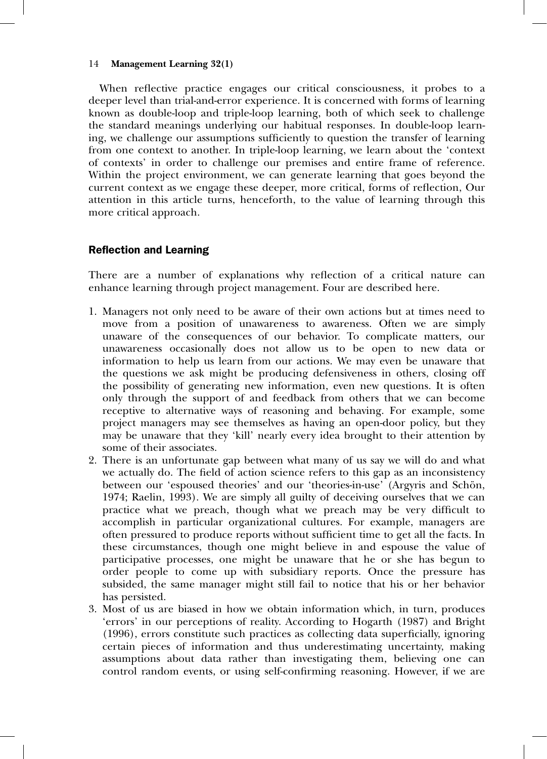When reflective practice engages our critical consciousness, it probes to a deeper level than trial-and-error experience. It is concerned with forms of learning known as double-loop and triple-loop learning, both of which seek to challenge the standard meanings underlying our habitual responses. In double-loop learning, we challenge our assumptions sufficiently to question the transfer of learning from one context to another. In triple-loop learning, we learn about the 'context of contexts' in order to challenge our premises and entire frame of reference. Within the project environment, we can generate learning that goes beyond the current context as we engage these deeper, more critical, forms of reflection, Our attention in this article turns, henceforth, to the value of learning through this more critical approach.

# Reflection and Learning

There are a number of explanations why reflection of a critical nature can enhance learning through project management. Four are described here.

- 1. Managers not only need to be aware of their own actions but at times need to move from a position of unawareness to awareness. Often we are simply unaware of the consequences of our behavior. To complicate matters, our unawareness occasionally does not allow us to be open to new data or information to help us learn from our actions. We may even be unaware that the questions we ask might be producing defensiveness in others, closing off the possibility of generating new information, even new questions. It is often only through the support of and feedback from others that we can become receptive to alternative ways of reasoning and behaving. For example, some project managers may see themselves as having an open-door policy, but they may be unaware that they 'kill' nearly every idea brought to their attention by some of their associates.
- 2. There is an unfortunate gap between what many of us say we will do and what we actually do. The field of action science refers to this gap as an inconsistency between our 'espoused theories' and our 'theories-in-use' (Argyris and Schön, 1974; Raelin, 1993). We are simply all guilty of deceiving ourselves that we can practice what we preach, though what we preach may be very difficult to accomplish in particular organizational cultures. For example, managers are often pressured to produce reports without sufficient time to get all the facts. In these circumstances, though one might believe in and espouse the value of participative processes, one might be unaware that he or she has begun to order people to come up with subsidiary reports. Once the pressure has subsided, the same manager might still fail to notice that his or her behavior has persisted.
- 3. Most of us are biased in how we obtain information which, in turn, produces 'errors' in our perceptions of reality. According to Hogarth (1987) and Bright (1996), errors constitute such practices as collecting data superficially, ignoring certain pieces of information and thus underestimating uncertainty, making assumptions about data rather than investigating them, believing one can control random events, or using self-confirming reasoning. However, if we are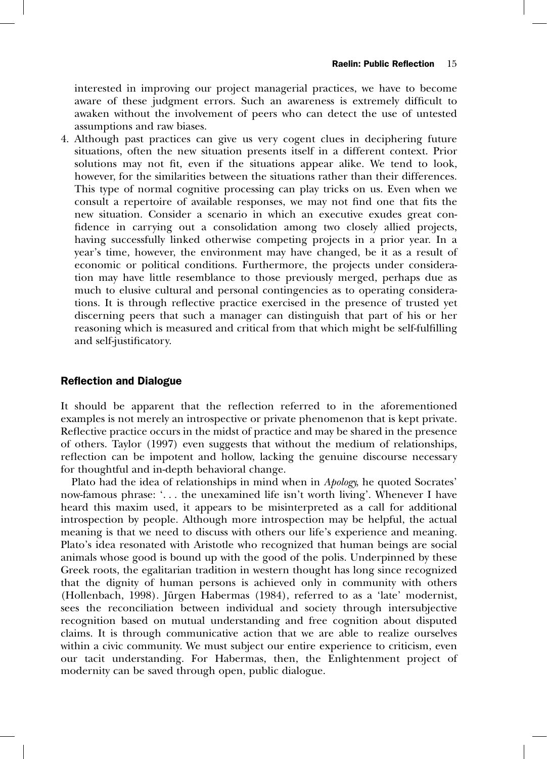interested in improving our project managerial practices, we have to become aware of these judgment errors. Such an awareness is extremely difficult to awaken without the involvement of peers who can detect the use of untested assumptions and raw biases.

4. Although past practices can give us very cogent clues in deciphering future situations, often the new situation presents itself in a different context. Prior solutions may not fit, even if the situations appear alike. We tend to look, however, for the similarities between the situations rather than their differences. This type of normal cognitive processing can play tricks on us. Even when we consult a repertoire of available responses, we may not find one that fits the new situation. Consider a scenario in which an executive exudes great confidence in carrying out a consolidation among two closely allied projects, having successfully linked otherwise competing projects in a prior year. In a year's time, however, the environment may have changed, be it as a result of economic or political conditions. Furthermore, the projects under consideration may have little resemblance to those previously merged, perhaps due as much to elusive cultural and personal contingencies as to operating considerations. It is through reflective practice exercised in the presence of trusted yet discerning peers that such a manager can distinguish that part of his or her reasoning which is measured and critical from that which might be self-fulfilling and self-justificatory.

# Reflection and Dialogue

It should be apparent that the reflection referred to in the aforementioned examples is not merely an introspective or private phenomenon that is kept private. Reflective practice occurs in the midst of practice and may be shared in the presence of others. Taylor (1997) even suggests that without the medium of relationships, reflection can be impotent and hollow, lacking the genuine discourse necessary for thoughtful and in-depth behavioral change.

Plato had the idea of relationships in mind when in *Apology*, he quoted Socrates' now-famous phrase: '. . . the unexamined life isn't worth living'. Whenever I have heard this maxim used, it appears to be misinterpreted as a call for additional introspection by people. Although more introspection may be helpful, the actual meaning is that we need to discuss with others our life's experience and meaning. Plato's idea resonated with Aristotle who recognized that human beings are social animals whose good is bound up with the good of the polis. Underpinned by these Greek roots, the egalitarian tradition in western thought has long since recognized that the dignity of human persons is achieved only in community with others (Hollenbach, 1998). Jürgen Habermas (1984), referred to as a 'late' modernist, sees the reconciliation between individual and society through intersubjective recognition based on mutual understanding and free cognition about disputed claims. It is through communicative action that we are able to realize ourselves within a civic community. We must subject our entire experience to criticism, even our tacit understanding. For Habermas, then, the Enlightenment project of modernity can be saved through open, public dialogue.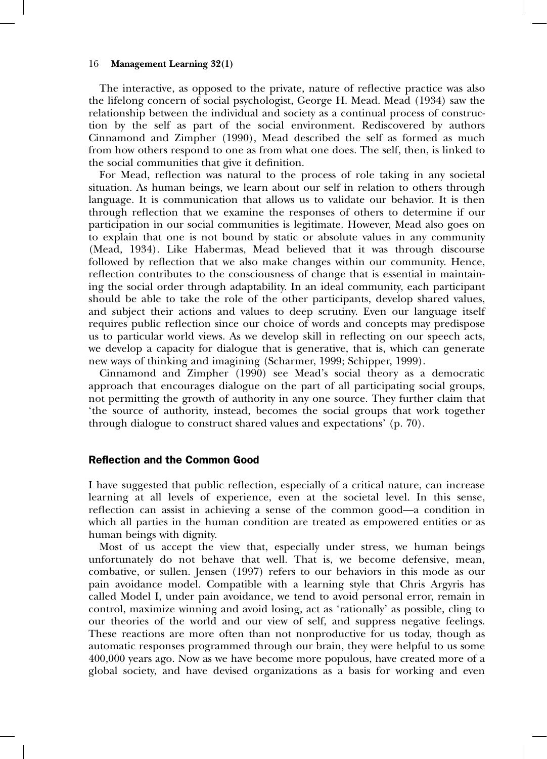The interactive, as opposed to the private, nature of reflective practice was also the lifelong concern of social psychologist, George H. Mead. Mead (1934) saw the relationship between the individual and society as a continual process of construction by the self as part of the social environment. Rediscovered by authors Cinnamond and Zimpher (1990), Mead described the self as formed as much from how others respond to one as from what one does. The self, then, is linked to the social communities that give it definition.

For Mead, reflection was natural to the process of role taking in any societal situation. As human beings, we learn about our self in relation to others through language. It is communication that allows us to validate our behavior. It is then through reflection that we examine the responses of others to determine if our participation in our social communities is legitimate. However, Mead also goes on to explain that one is not bound by static or absolute values in any community (Mead, 1934). Like Habermas, Mead believed that it was through discourse followed by reflection that we also make changes within our community. Hence, reflection contributes to the consciousness of change that is essential in maintaining the social order through adaptability. In an ideal community, each participant should be able to take the role of the other participants, develop shared values, and subject their actions and values to deep scrutiny. Even our language itself requires public reflection since our choice of words and concepts may predispose us to particular world views. As we develop skill in reflecting on our speech acts, we develop a capacity for dialogue that is generative, that is, which can generate new ways of thinking and imagining (Scharmer, 1999; Schipper, 1999).

Cinnamond and Zimpher (1990) see Mead's social theory as a democratic approach that encourages dialogue on the part of all participating social groups, not permitting the growth of authority in any one source. They further claim that 'the source of authority, instead, becomes the social groups that work together through dialogue to construct shared values and expectations' (p. 70).

#### Reflection and the Common Good

I have suggested that public reflection, especially of a critical nature, can increase learning at all levels of experience, even at the societal level. In this sense, reflection can assist in achieving a sense of the common good—a condition in which all parties in the human condition are treated as empowered entities or as human beings with dignity.

Most of us accept the view that, especially under stress, we human beings unfortunately do not behave that well. That is, we become defensive, mean, combative, or sullen. Jensen (1997) refers to our behaviors in this mode as our pain avoidance model. Compatible with a learning style that Chris Argyris has called Model I, under pain avoidance, we tend to avoid personal error, remain in control, maximize winning and avoid losing, act as 'rationally' as possible, cling to our theories of the world and our view of self, and suppress negative feelings. These reactions are more often than not nonproductive for us today, though as automatic responses programmed through our brain, they were helpful to us some 400,000 years ago. Now as we have become more populous, have created more of a global society, and have devised organizations as a basis for working and even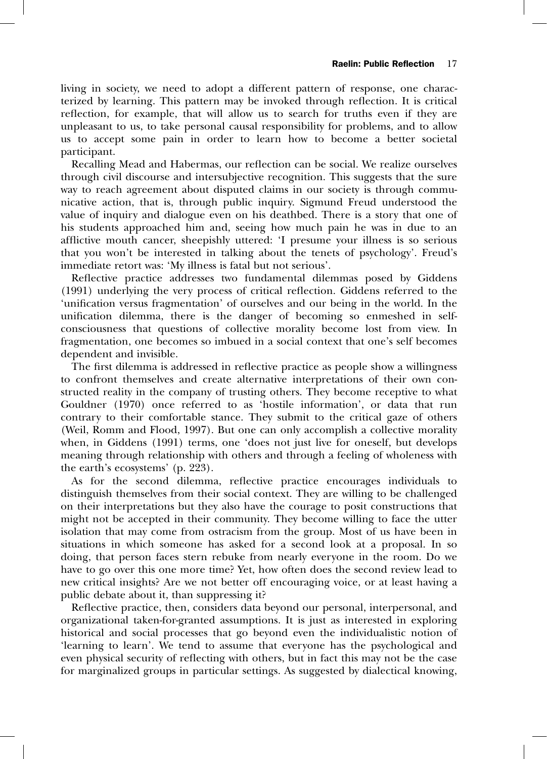living in society, we need to adopt a different pattern of response, one characterized by learning. This pattern may be invoked through reflection. It is critical reflection, for example, that will allow us to search for truths even if they are unpleasant to us, to take personal causal responsibility for problems, and to allow us to accept some pain in order to learn how to become a better societal participant.

Recalling Mead and Habermas, our reflection can be social. We realize ourselves through civil discourse and intersubjective recognition. This suggests that the sure way to reach agreement about disputed claims in our society is through communicative action, that is, through public inquiry. Sigmund Freud understood the value of inquiry and dialogue even on his deathbed. There is a story that one of his students approached him and, seeing how much pain he was in due to an afflictive mouth cancer, sheepishly uttered: 'I presume your illness is so serious that you won't be interested in talking about the tenets of psychology'. Freud's immediate retort was: 'My illness is fatal but not serious'.

Reflective practice addresses two fundamental dilemmas posed by Giddens (1991) underlying the very process of critical reflection. Giddens referred to the 'unification versus fragmentation' of ourselves and our being in the world. In the unification dilemma, there is the danger of becoming so enmeshed in selfconsciousness that questions of collective morality become lost from view. In fragmentation, one becomes so imbued in a social context that one's self becomes dependent and invisible.

The first dilemma is addressed in reflective practice as people show a willingness to confront themselves and create alternative interpretations of their own constructed reality in the company of trusting others. They become receptive to what Gouldner (1970) once referred to as 'hostile information', or data that run contrary to their comfortable stance. They submit to the critical gaze of others (Weil, Romm and Flood, 1997). But one can only accomplish a collective morality when, in Giddens (1991) terms, one 'does not just live for oneself, but develops meaning through relationship with others and through a feeling of wholeness with the earth's ecosystems' (p.  $223$ ).

As for the second dilemma, reflective practice encourages individuals to distinguish themselves from their social context. They are willing to be challenged on their interpretations but they also have the courage to posit constructions that might not be accepted in their community. They become willing to face the utter isolation that may come from ostracism from the group. Most of us have been in situations in which someone has asked for a second look at a proposal. In so doing, that person faces stern rebuke from nearly everyone in the room. Do we have to go over this one more time? Yet, how often does the second review lead to new critical insights? Are we not better off encouraging voice, or at least having a public debate about it, than suppressing it?

Reflective practice, then, considers data beyond our personal, interpersonal, and organizational taken-for-granted assumptions. It is just as interested in exploring historical and social processes that go beyond even the individualistic notion of 'learning to learn'. We tend to assume that everyone has the psychological and even physical security of reflecting with others, but in fact this may not be the case for marginalized groups in particular settings. As suggested by dialectical knowing,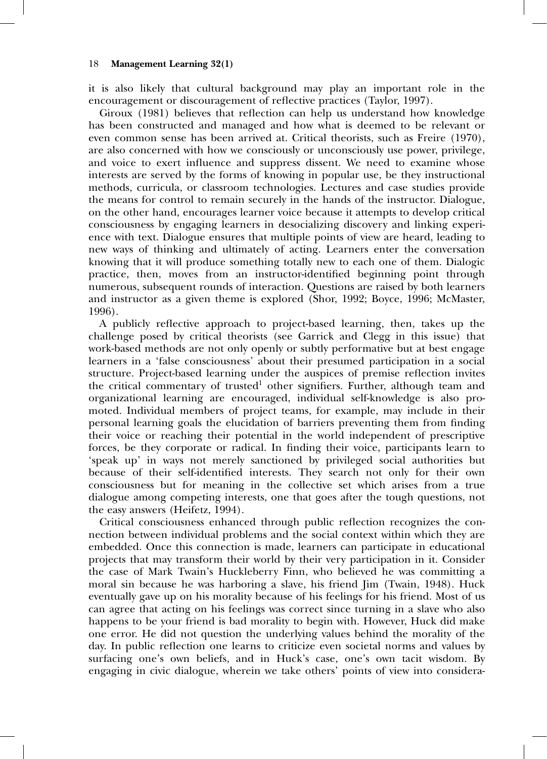it is also likely that cultural background may play an important role in the encouragement or discouragement of reflective practices (Taylor, 1997).

Giroux (1981) believes that reflection can help us understand how knowledge has been constructed and managed and how what is deemed to be relevant or even common sense has been arrived at. Critical theorists, such as Freire (1970), are also concerned with how we consciously or unconsciously use power, privilege, and voice to exert influence and suppress dissent. We need to examine whose interests are served by the forms of knowing in popular use, be they instructional methods, curricula, or classroom technologies. Lectures and case studies provide the means for control to remain securely in the hands of the instructor. Dialogue, on the other hand, encourages learner voice because it attempts to develop critical consciousness by engaging learners in desocializing discovery and linking experience with text. Dialogue ensures that multiple points of view are heard, leading to new ways of thinking and ultimately of acting. Learners enter the conversation knowing that it will produce something totally new to each one of them. Dialogic practice, then, moves from an instructor-identified beginning point through numerous, subsequent rounds of interaction. Questions are raised by both learners and instructor as a given theme is explored (Shor, 1992; Boyce, 1996; McMaster, 1996).

A publicly reflective approach to project-based learning, then, takes up the challenge posed by critical theorists (see Garrick and Clegg in this issue) that work-based methods are not only openly or subtly performative but at best engage learners in a 'false consciousness' about their presumed participation in a social structure. Project-based learning under the auspices of premise reflection invites the critical commentary of trusted<sup>1</sup> other signifiers. Further, although team and organizational learning are encouraged, individual self-knowledge is also promoted. Individual members of project teams, for example, may include in their personal learning goals the elucidation of barriers preventing them from finding their voice or reaching their potential in the world independent of prescriptive forces, be they corporate or radical. In finding their voice, participants learn to 'speak up' in ways not merely sanctioned by privileged social authorities but because of their self-identified interests. They search not only for their own consciousness but for meaning in the collective set which arises from a true dialogue among competing interests, one that goes after the tough questions, not the easy answers (Heifetz, 1994).

Critical consciousness enhanced through public reflection recognizes the connection between individual problems and the social context within which they are embedded. Once this connection is made, learners can participate in educational projects that may transform their world by their very participation in it. Consider the case of Mark Twain's Huckleberry Finn, who believed he was committing a moral sin because he was harboring a slave, his friend Jim (Twain, 1948). Huck eventually gave up on his morality because of his feelings for his friend. Most of us can agree that acting on his feelings was correct since turning in a slave who also happens to be your friend is bad morality to begin with. However, Huck did make one error. He did not question the underlying values behind the morality of the day. In public reflection one learns to criticize even societal norms and values by surfacing one's own beliefs, and in Huck's case, one's own tacit wisdom. By engaging in civic dialogue, wherein we take others' points of view into considera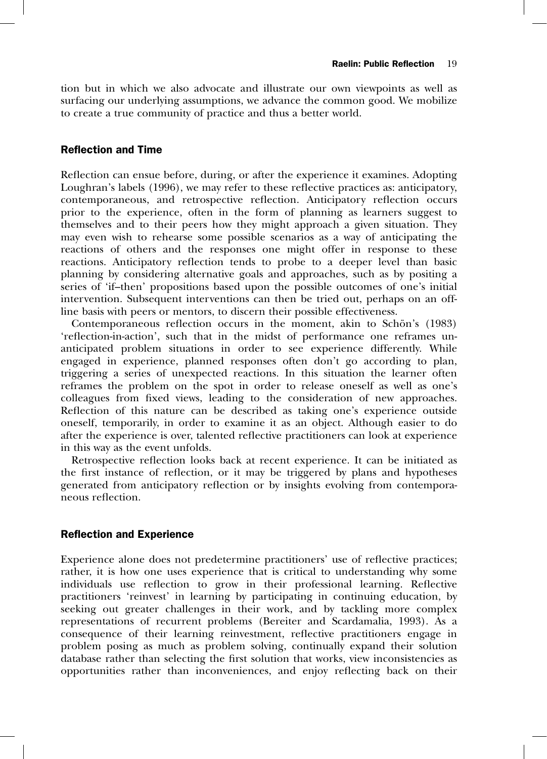tion but in which we also advocate and illustrate our own viewpoints as well as surfacing our underlying assumptions, we advance the common good. We mobilize to create a true community of practice and thus a better world.

#### Reflection and Time

Reflection can ensue before, during, or after the experience it examines. Adopting Loughran's labels (1996), we may refer to these reflective practices as: anticipatory, contemporaneous, and retrospective reflection. Anticipatory reflection occurs prior to the experience, often in the form of planning as learners suggest to themselves and to their peers how they might approach a given situation. They may even wish to rehearse some possible scenarios as a way of anticipating the reactions of others and the responses one might offer in response to these reactions. Anticipatory reflection tends to probe to a deeper level than basic planning by considering alternative goals and approaches, such as by positing a series of 'if-then' propositions based upon the possible outcomes of one's initial intervention. Subsequent interventions can then be tried out, perhaps on an offline basis with peers or mentors, to discern their possible effectiveness.

Contemporaneous reflection occurs in the moment, akin to Schön's (1983) 'reflection-in-action', such that in the midst of performance one reframes unanticipated problem situations in order to see experience differently. While engaged in experience, planned responses often don't go according to plan, triggering a series of unexpected reactions. In this situation the learner often reframes the problem on the spot in order to release oneself as well as one's colleagues from fixed views, leading to the consideration of new approaches. Reflection of this nature can be described as taking one's experience outside oneself, temporarily, in order to examine it as an object. Although easier to do after the experience is over, talented reflective practitioners can look at experience in this way as the event unfolds.

Retrospective reflection looks back at recent experience. It can be initiated as the first instance of reflection, or it may be triggered by plans and hypotheses generated from anticipatory reflection or by insights evolving from contemporaneous reflection.

#### Reflection and Experience

Experience alone does not predetermine practitioners' use of reflective practices; rather, it is how one uses experience that is critical to understanding why some individuals use reflection to grow in their professional learning. Reflective practitioners 'reinvest' in learning by participating in continuing education, by seeking out greater challenges in their work, and by tackling more complex representations of recurrent problems (Bereiter and Scardamalia, 1993). As a consequence of their learning reinvestment, reflective practitioners engage in problem posing as much as problem solving, continually expand their solution database rather than selecting the first solution that works, view inconsistencies as opportunities rather than inconveniences, and enjoy reflecting back on their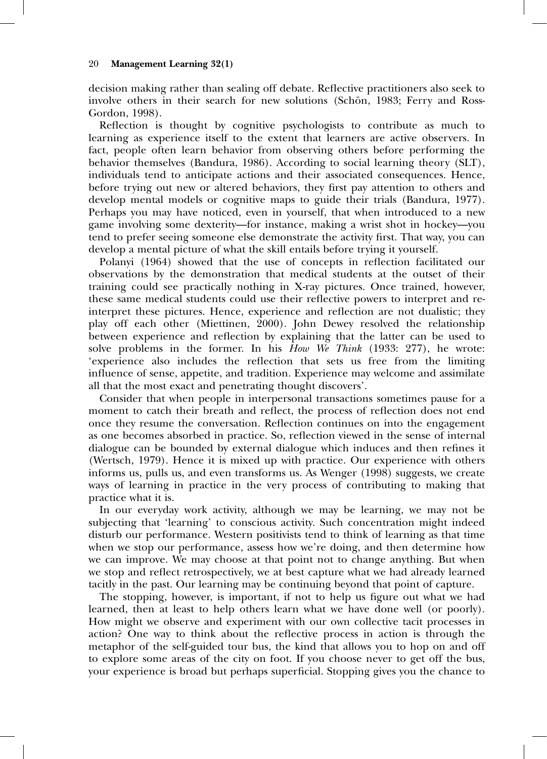decision making rather than sealing off debate. Reflective practitioners also seek to involve others in their search for new solutions (Schön, 1983; Ferry and Ross-Gordon, 1998).

Reflection is thought by cognitive psychologists to contribute as much to learning as experience itself to the extent that learners are active observers. In fact, people often learn behavior from observing others before performing the behavior themselves (Bandura, 1986). According to social learning theory (SLT), individuals tend to anticipate actions and their associated consequences. Hence, before trying out new or altered behaviors, they first pay attention to others and develop mental models or cognitive maps to guide their trials (Bandura, 1977). Perhaps you may have noticed, even in yourself, that when introduced to a new game involving some dexterity—for instance, making a wrist shot in hockey—you tend to prefer seeing someone else demonstrate the activity first. That way, you can develop a mental picture of what the skill entails before trying it yourself.

Polanyi (1964) showed that the use of concepts in reflection facilitated our observations by the demonstration that medical students at the outset of their training could see practically nothing in X-ray pictures. Once trained, however, these same medical students could use their reflective powers to interpret and reinterpret these pictures. Hence, experience and reflection are not dualistic; they play off each other (Miettinen, 2000). John Dewey resolved the relationship between experience and reflection by explaining that the latter can be used to solve problems in the former. In his *How We Think* (1933: 277), he wrote: 'experience also includes the reflection that sets us free from the limiting influence of sense, appetite, and tradition. Experience may welcome and assimilate all that the most exact and penetrating thought discovers'.

Consider that when people in interpersonal transactions sometimes pause for a moment to catch their breath and reflect, the process of reflection does not end once they resume the conversation. Reflection continues on into the engagement as one becomes absorbed in practice. So, reflection viewed in the sense of internal dialogue can be bounded by external dialogue which induces and then refines it (Wertsch, 1979). Hence it is mixed up with practice. Our experience with others informs us, pulls us, and even transforms us. As Wenger (1998) suggests, we create ways of learning in practice in the very process of contributing to making that practice what it is.

In our everyday work activity, although we may be learning, we may not be subjecting that 'learning' to conscious activity. Such concentration might indeed disturb our performance. Western positivists tend to think of learning as that time when we stop our performance, assess how we're doing, and then determine how we can improve. We may choose at that point not to change anything. But when we stop and reflect retrospectively, we at best capture what we had already learned tacitly in the past. Our learning may be continuing beyond that point of capture.

The stopping, however, is important, if not to help us figure out what we had learned, then at least to help others learn what we have done well (or poorly). How might we observe and experiment with our own collective tacit processes in action? One way to think about the reflective process in action is through the metaphor of the self-guided tour bus, the kind that allows you to hop on and off to explore some areas of the city on foot. If you choose never to get off the bus, your experience is broad but perhaps superficial. Stopping gives you the chance to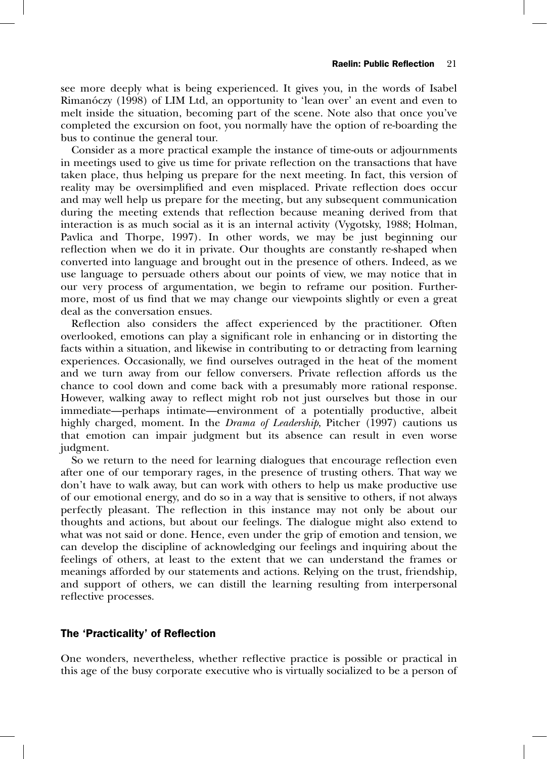see more deeply what is being experienced. It gives you, in the words of Isabel Rimanóczy (1998) of LIM Ltd, an opportunity to 'lean over' an event and even to melt inside the situation, becoming part of the scene. Note also that once you've completed the excursion on foot, you normally have the option of re-boarding the bus to continue the general tour.

Consider as a more practical example the instance of time-outs or adjournments in meetings used to give us time for private reflection on the transactions that have taken place, thus helping us prepare for the next meeting. In fact, this version of reality may be oversimplified and even misplaced. Private reflection does occur and may well help us prepare for the meeting, but any subsequent communication during the meeting extends that reflection because meaning derived from that interaction is as much social as it is an internal activity (Vygotsky, 1988; Holman, Pavlica and Thorpe, 1997). In other words, we may be just beginning our reflection when we do it in private. Our thoughts are constantly re-shaped when converted into language and brought out in the presence of others. Indeed, as we use language to persuade others about our points of view, we may notice that in our very process of argumentation, we begin to reframe our position. Furthermore, most of us find that we may change our viewpoints slightly or even a great deal as the conversation ensues.

Reflection also considers the affect experienced by the practitioner. Often overlooked, emotions can play a significant role in enhancing or in distorting the facts within a situation, and likewise in contributing to or detracting from learning experiences. Occasionally, we find ourselves outraged in the heat of the moment and we turn away from our fellow conversers. Private reflection affords us the chance to cool down and come back with a presumably more rational response. However, walking away to reflect might rob not just ourselves but those in our immediate—perhaps intimate—environment of a potentially productive, albeit highly charged, moment. In the *Drama of Leadership*, Pitcher (1997) cautions us that emotion can impair judgment but its absence can result in even worse judgment.

So we return to the need for learning dialogues that encourage reflection even after one of our temporary rages, in the presence of trusting others. That way we don't have to walk away, but can work with others to help us make productive use of our emotional energy, and do so in a way that is sensitive to others, if not always perfectly pleasant. The reflection in this instance may not only be about our thoughts and actions, but about our feelings. The dialogue might also extend to what was not said or done. Hence, even under the grip of emotion and tension, we can develop the discipline of acknowledging our feelings and inquiring about the feelings of others, at least to the extent that we can understand the frames or meanings afforded by our statements and actions. Relying on the trust, friendship, and support of others, we can distill the learning resulting from interpersonal reflective processes.

# The 'Practicality' of Reflection

One wonders, nevertheless, whether reflective practice is possible or practical in this age of the busy corporate executive who is virtually socialized to be a person of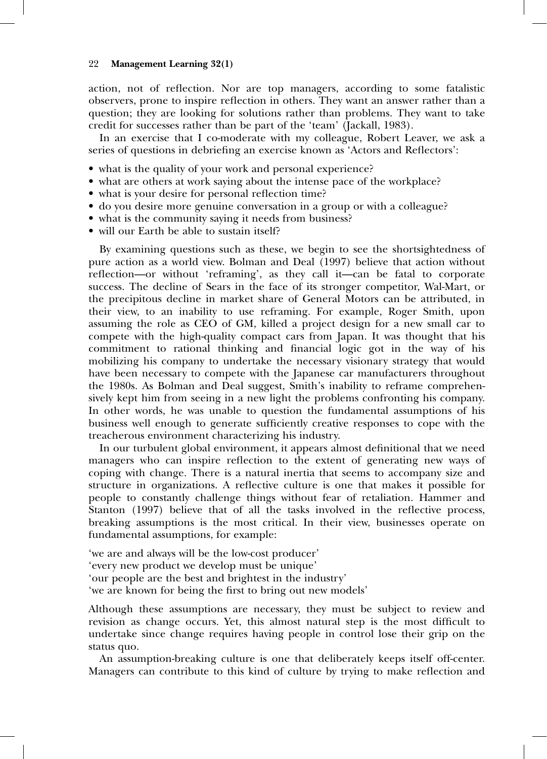action, not of reflection. Nor are top managers, according to some fatalistic observers, prone to inspire reflection in others. They want an answer rather than a question; they are looking for solutions rather than problems. They want to take credit for successes rather than be part of the 'team' (Jackall, 1983).

In an exercise that I co-moderate with my colleague, Robert Leaver, we ask a series of questions in debriefing an exercise known as 'Actors and Reflectors':

- what is the quality of your work and personal experience?
- what are others at work saying about the intense pace of the workplace?
- what is your desire for personal reflection time?
- do you desire more genuine conversation in a group or with a colleague?
- what is the community saying it needs from business?
- will our Earth be able to sustain itself?

By examining questions such as these, we begin to see the shortsightedness of pure action as a world view. Bolman and Deal (1997) believe that action without reflection—or without 'reframing', as they call it—can be fatal to corporate success. The decline of Sears in the face of its stronger competitor, Wal-Mart, or the precipitous decline in market share of General Motors can be attributed, in their view, to an inability to use reframing. For example, Roger Smith, upon assuming the role as CEO of GM, killed a project design for a new small car to compete with the high-quality compact cars from Japan. It was thought that his commitment to rational thinking and financial logic got in the way of his mobilizing his company to undertake the necessary visionary strategy that would have been necessary to compete with the Japanese car manufacturers throughout the 1980s. As Bolman and Deal suggest, Smith's inability to reframe comprehensively kept him from seeing in a new light the problems confronting his company. In other words, he was unable to question the fundamental assumptions of his business well enough to generate sufficiently creative responses to cope with the treacherous environment characterizing his industry.

In our turbulent global environment, it appears almost definitional that we need managers who can inspire reflection to the extent of generating new ways of coping with change. There is a natural inertia that seems to accompany size and structure in organizations. A reflective culture is one that makes it possible for people to constantly challenge things without fear of retaliation. Hammer and Stanton (1997) believe that of all the tasks involved in the reflective process, breaking assumptions is the most critical. In their view, businesses operate on fundamental assumptions, for example:

'we are and always will be the low-cost producer' 'every new product we develop must be unique' 'our people are the best and brightest in the industry' 'we are known for being the first to bring out new models'

Although these assumptions are necessary, they must be subject to review and revision as change occurs. Yet, this almost natural step is the most difficult to undertake since change requires having people in control lose their grip on the status quo.

An assumption-breaking culture is one that deliberately keeps itself off-center. Managers can contribute to this kind of culture by trying to make reflection and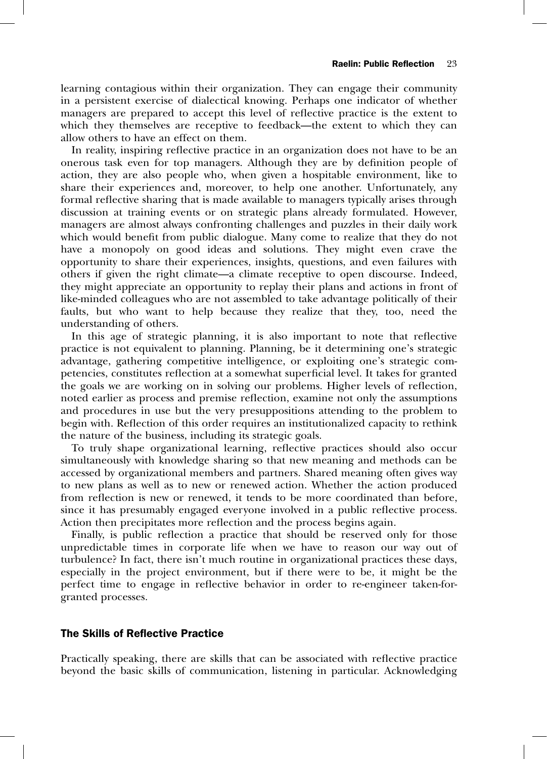learning contagious within their organization. They can engage their community in a persistent exercise of dialectical knowing. Perhaps one indicator of whether managers are prepared to accept this level of reflective practice is the extent to which they themselves are receptive to feedback—the extent to which they can allow others to have an effect on them.

In reality, inspiring reflective practice in an organization does not have to be an onerous task even for top managers. Although they are by definition people of action, they are also people who, when given a hospitable environment, like to share their experiences and, moreover, to help one another. Unfortunately, any formal reflective sharing that is made available to managers typically arises through discussion at training events or on strategic plans already formulated. However, managers are almost always confronting challenges and puzzles in their daily work which would benefit from public dialogue. Many come to realize that they do not have a monopoly on good ideas and solutions. They might even crave the opportunity to share their experiences, insights, questions, and even failures with others if given the right climate—a climate receptive to open discourse. Indeed, they might appreciate an opportunity to replay their plans and actions in front of like-minded colleagues who are not assembled to take advantage politically of their faults, but who want to help because they realize that they, too, need the understanding of others.

In this age of strategic planning, it is also important to note that reflective practice is not equivalent to planning. Planning, be it determining one's strategic advantage, gathering competitive intelligence, or exploiting one's strategic competencies, constitutes reflection at a somewhat superficial level. It takes for granted the goals we are working on in solving our problems. Higher levels of reflection, noted earlier as process and premise reflection, examine not only the assumptions and procedures in use but the very presuppositions attending to the problem to begin with. Reflection of this order requires an institutionalized capacity to rethink the nature of the business, including its strategic goals.

To truly shape organizational learning, reflective practices should also occur simultaneously with knowledge sharing so that new meaning and methods can be accessed by organizational members and partners. Shared meaning often gives way to new plans as well as to new or renewed action. Whether the action produced from reflection is new or renewed, it tends to be more coordinated than before, since it has presumably engaged everyone involved in a public reflective process. Action then precipitates more reflection and the process begins again.

Finally, is public reflection a practice that should be reserved only for those unpredictable times in corporate life when we have to reason our way out of turbulence? In fact, there isn't much routine in organizational practices these days, especially in the project environment, but if there were to be, it might be the perfect time to engage in reflective behavior in order to re-engineer taken-forgranted processes.

#### The Skills of Reflective Practice

Practically speaking, there are skills that can be associated with reflective practice beyond the basic skills of communication, listening in particular. Acknowledging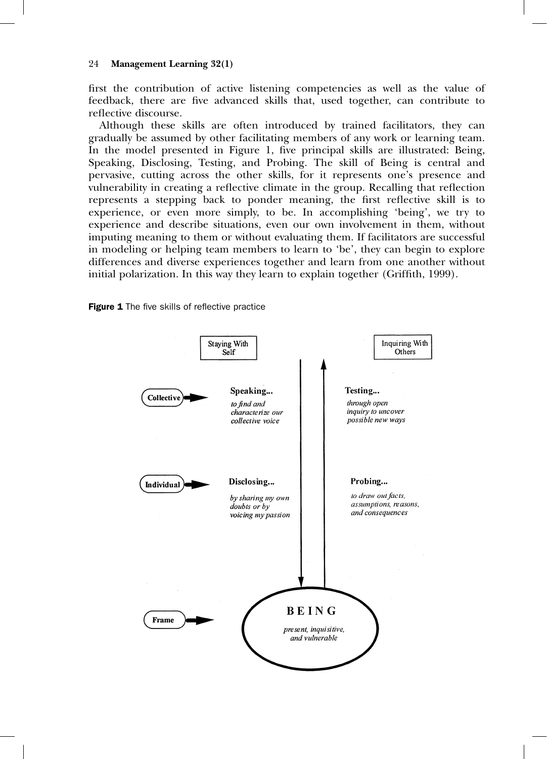first the contribution of active listening competencies as well as the value of feedback, there are five advanced skills that, used together, can contribute to reflective discourse.

Although these skills are often introduced by trained facilitators, they can gradually be assumed by other facilitating members of any work or learning team. In the model presented in Figure 1, five principal skills are illustrated: Being, Speaking, Disclosing, Testing, and Probing. The skill of Being is central and pervasive, cutting across the other skills, for it represents one's presence and vulnerability in creating a reflective climate in the group. Recalling that reflection represents a stepping back to ponder meaning, the first reflective skill is to experience, or even more simply, to be. In accomplishing 'being', we try to experience and describe situations, even our own involvement in them, without imputing meaning to them or without evaluating them. If facilitators are successful in modeling or helping team members to learn to 'be', they can begin to explore differences and diverse experiences together and learn from one another without initial polarization. In this way they learn to explain together (Griffith, 1999).



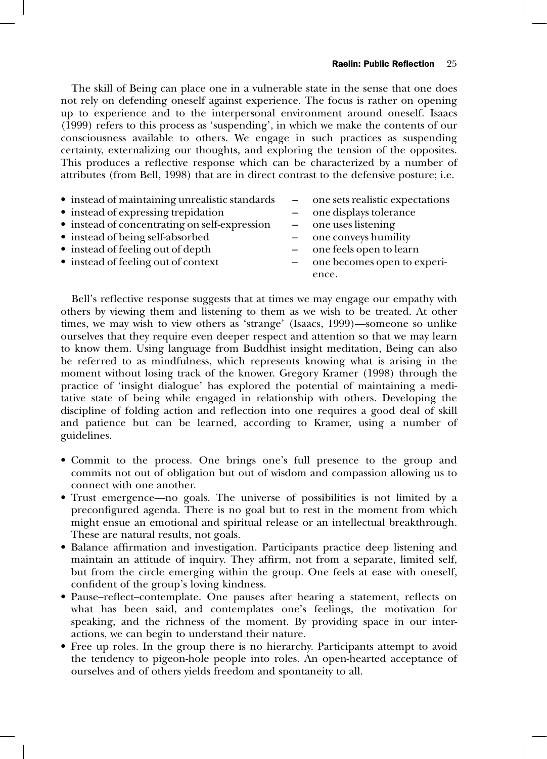The skill of Being can place one in a vulnerable state in the sense that one does not rely on defending oneself against experience. The focus is rather on opening up to experience and to the interpersonal environment around oneself. Isaacs (1999) refers to this process as 'suspending', in which we make the contents of our consciousness available to others. We engage in such practices as suspending certainty, externalizing our thoughts, and exploring the tension of the opposites. This produces a reflective response which can be characterized by a number of attributes (from Bell, 1998) that are in direct contrast to the defensive posture; i.e.

| • instead of maintaining unrealistic standards | - one sets realistic expectations |
|------------------------------------------------|-----------------------------------|
| • instead of expressing trepidation            | - one displays tolerance          |
| • instead of concentrating on self-expression  | - one uses listening              |
| • instead of being self-absorbed               | - one conveys humility            |
| • instead of feeling out of depth              | - one feels open to learn         |
| • instead of feeling out of context            | - one becomes open to experi-     |
|                                                | ence.                             |

Bell's reflective response suggests that at times we may engage our empathy with others by viewing them and listening to them as we wish to be treated. At other times, we may wish to view others as 'strange' (Isaacs, 1999)—someone so unlike ourselves that they require even deeper respect and attention so that we may learn to know them. Using language from Buddhist insight meditation, Being can also be referred to as mindfulness, which represents knowing what is arising in the moment without losing track of the knower. Gregory Kramer (1998) through the practice of 'insight dialogue' has explored the potential of maintaining a meditative state of being while engaged in relationship with others. Developing the discipline of folding action and reflection into one requires a good deal of skill and patience but can be learned, according to Kramer, using a number of guidelines.

- Commit to the process. One brings one's full presence to the group and commits not out of obligation but out of wisdom and compassion allowing us to connect with one another.
- Trust emergence—no goals. The universe of possibilities is not limited by a preconfigured agenda. There is no goal but to rest in the moment from which might ensue an emotional and spiritual release or an intellectual breakthrough. These are natural results, not goals.
- Balance affirmation and investigation. Participants practice deep listening and maintain an attitude of inquiry. They affirm, not from a separate, limited self, but from the circle emerging within the group. One feels at ease with oneself, confident of the group's loving kindness.
- Pause–reflect–contemplate. One pauses after hearing a statement, reflects on what has been said, and contemplates one's feelings, the motivation for speaking, and the richness of the moment. By providing space in our interactions, we can begin to understand their nature.
- Free up roles. In the group there is no hierarchy. Participants attempt to avoid the tendency to pigeon-hole people into roles. An open-hearted acceptance of ourselves and of others yields freedom and spontaneity to all.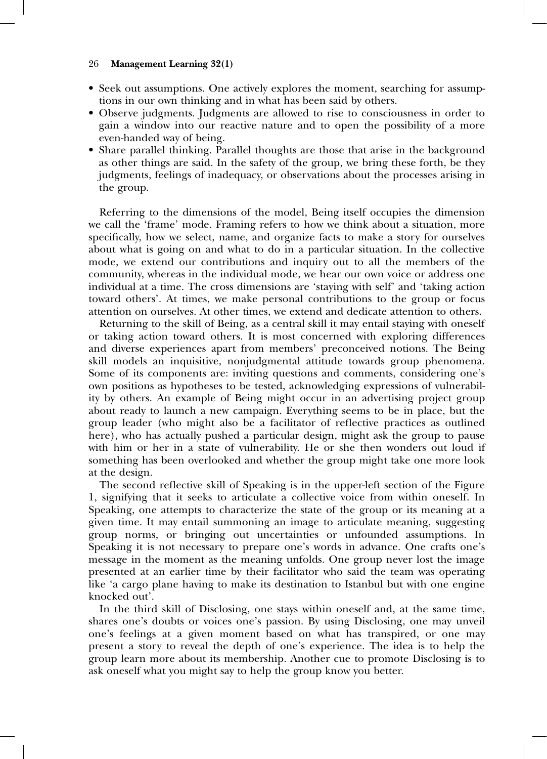- Seek out assumptions. One actively explores the moment, searching for assumptions in our own thinking and in what has been said by others.
- Observe judgments. Judgments are allowed to rise to consciousness in order to gain a window into our reactive nature and to open the possibility of a more even-handed way of being.
- Share parallel thinking. Parallel thoughts are those that arise in the background as other things are said. In the safety of the group, we bring these forth, be they judgments, feelings of inadequacy, or observations about the processes arising in the group.

Referring to the dimensions of the model, Being itself occupies the dimension we call the 'frame' mode. Framing refers to how we think about a situation, more specifically, how we select, name, and organize facts to make a story for ourselves about what is going on and what to do in a particular situation. In the collective mode, we extend our contributions and inquiry out to all the members of the community, whereas in the individual mode, we hear our own voice or address one individual at a time. The cross dimensions are 'staying with self' and 'taking action toward others'. At times, we make personal contributions to the group or focus attention on ourselves. At other times, we extend and dedicate attention to others.

Returning to the skill of Being, as a central skill it may entail staying with oneself or taking action toward others. It is most concerned with exploring differences and diverse experiences apart from members' preconceived notions. The Being skill models an inquisitive, nonjudgmental attitude towards group phenomena. Some of its components are: inviting questions and comments, considering one's own positions as hypotheses to be tested, acknowledging expressions of vulnerability by others. An example of Being might occur in an advertising project group about ready to launch a new campaign. Everything seems to be in place, but the group leader (who might also be a facilitator of reflective practices as outlined here), who has actually pushed a particular design, might ask the group to pause with him or her in a state of vulnerability. He or she then wonders out loud if something has been overlooked and whether the group might take one more look at the design.

The second reflective skill of Speaking is in the upper-left section of the Figure 1, signifying that it seeks to articulate a collective voice from within oneself. In Speaking, one attempts to characterize the state of the group or its meaning at a given time. It may entail summoning an image to articulate meaning, suggesting group norms, or bringing out uncertainties or unfounded assumptions. In Speaking it is not necessary to prepare one's words in advance. One crafts one's message in the moment as the meaning unfolds. One group never lost the image presented at an earlier time by their facilitator who said the team was operating like 'a cargo plane having to make its destination to Istanbul but with one engine knocked out'.

In the third skill of Disclosing, one stays within oneself and, at the same time, shares one's doubts or voices one's passion. By using Disclosing, one may unveil one's feelings at a given moment based on what has transpired, or one may present a story to reveal the depth of one's experience. The idea is to help the group learn more about its membership. Another cue to promote Disclosing is to ask oneself what you might say to help the group know you better.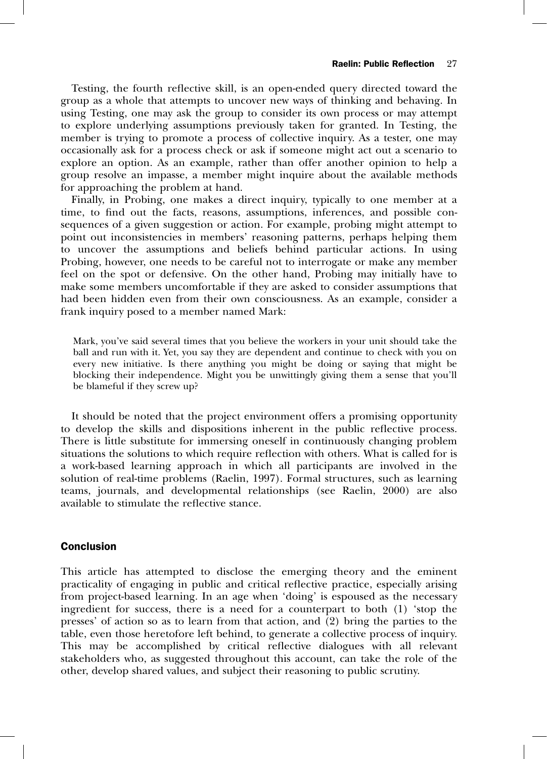Testing, the fourth reflective skill, is an open-ended query directed toward the group as a whole that attempts to uncover new ways of thinking and behaving. In using Testing, one may ask the group to consider its own process or may attempt to explore underlying assumptions previously taken for granted. In Testing, the member is trying to promote a process of collective inquiry. As a tester, one may occasionally ask for a process check or ask if someone might act out a scenario to explore an option. As an example, rather than offer another opinion to help a group resolve an impasse, a member might inquire about the available methods for approaching the problem at hand.

Finally, in Probing, one makes a direct inquiry, typically to one member at a time, to find out the facts, reasons, assumptions, inferences, and possible consequences of a given suggestion or action. For example, probing might attempt to point out inconsistencies in members' reasoning patterns, perhaps helping them to uncover the assumptions and beliefs behind particular actions. In using Probing, however, one needs to be careful not to interrogate or make any member feel on the spot or defensive. On the other hand, Probing may initially have to make some members uncomfortable if they are asked to consider assumptions that had been hidden even from their own consciousness. As an example, consider a frank inquiry posed to a member named Mark:

Mark, you've said several times that you believe the workers in your unit should take the ball and run with it. Yet, you say they are dependent and continue to check with you on every new initiative. Is there anything you might be doing or saying that might be blocking their independence. Might you be unwittingly giving them a sense that you'll be blameful if they screw up?

It should be noted that the project environment offers a promising opportunity to develop the skills and dispositions inherent in the public reflective process. There is little substitute for immersing oneself in continuously changing problem situations the solutions to which require reflection with others. What is called for is a work-based learning approach in which all participants are involved in the solution of real-time problems (Raelin, 1997). Formal structures, such as learning teams, journals, and developmental relationships (see Raelin, 2000) are also available to stimulate the reflective stance.

#### Conclusion

This article has attempted to disclose the emerging theory and the eminent practicality of engaging in public and critical reflective practice, especially arising from project-based learning. In an age when 'doing' is espoused as the necessary ingredient for success, there is a need for a counterpart to both (1) 'stop the presses' of action so as to learn from that action, and  $(2)$  bring the parties to the table, even those heretofore left behind, to generate a collective process of inquiry. This may be accomplished by critical reflective dialogues with all relevant stakeholders who, as suggested throughout this account, can take the role of the other, develop shared values, and subject their reasoning to public scrutiny.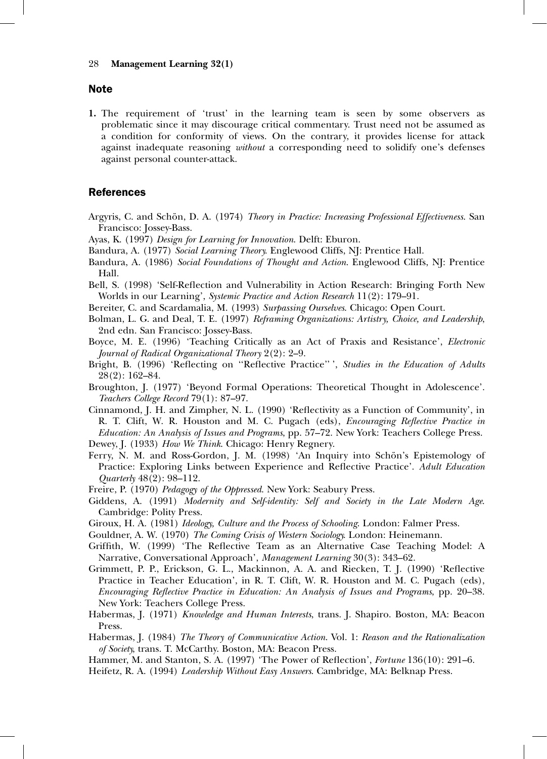#### Note

**1.** The requirement of 'trust' in the learning team is seen by some observers as problematic since it may discourage critical commentary. Trust need not be assumed as a condition for conformity of views. On the contrary, it provides license for attack against inadequate reasoning *without* a corresponding need to solidify one's defenses against personal counter-attack.

#### **References**

- Argyris, C. and Schön, D. A. (1974) *Theory in Practice: Increasing Professional Effectiveness*. San Francisco: Jossey-Bass.
- Ayas, K. (1997) *Design for Learning for Innovation*. Delft: Eburon.
- Bandura, A. (1977) *Social Learning Theory*. Englewood Cliffs, NJ: Prentice Hall.
- Bandura, A. (1986) *Social Foundations of Thought and Action*. Englewood Cliffs, NJ: Prentice Hall.
- Bell, S. (1998) 'Self-Reflection and Vulnerability in Action Research: Bringing Forth New Worlds in our Learning', *Systemic Practice and Action Research* 11(2): 179–91.
- Bereiter, C. and Scardamalia, M. (1993) *Surpassing Ourselves*. Chicago: Open Court.
- Bolman, L. G. and Deal, T. E. (1997) *Reframing Organizations: Artistry, Choice, and Leadership*, 2nd edn. San Francisco: Jossey-Bass.
- Boyce, M. E. (1996) 'Teaching Critically as an Act of Praxis and Resistance', *Electronic Journal of Radical Organizational Theory* 2(2): 2–9.
- Bright, B. (1996) 'Reflecting on ''Reflective Practice'' ', *Studies in the Education of Adults* 28(2): 162–84.
- Broughton, J. (1977) 'Beyond Formal Operations: Theoretical Thought in Adolescence'. *Teachers College Record* 79(1): 87–97.
- Cinnamond, J. H. and Zimpher, N. L. (1990) 'Reflectivity as a Function of Community', in R. T. Clift, W. R. Houston and M. C. Pugach (eds), *Encouraging Reflective Practice in Education: An Analysis of Issues and Programs*, pp. 57–72. New York: Teachers College Press.
- Dewey, J. (1933) *How We Think*. Chicago: Henry Regnery.
- Ferry, N. M. and Ross-Gordon, J. M. (1998) 'An Inquiry into Schön's Epistemology of Practice: Exploring Links between Experience and Reflective Practice'. *Adult Education Quarterly* 48(2): 98–112.
- Freire, P. (1970) *Pedagogy of the Oppressed*. New York: Seabury Press.
- Giddens, A. (1991) *Modernity and Self-identity: Self and Society in the Late Modern Age*. Cambridge: Polity Press.
- Giroux, H. A. (1981) *Ideology, Culture and the Process of Schooling*. London: Falmer Press.
- Gouldner, A. W. (1970) *The Coming Crisis of Western Sociology*. London: Heinemann.
- Griffith, W. (1999) 'The Reflective Team as an Alternative Case Teaching Model: A Narrative, Conversational Approach', *Management Learning* 30(3): 343–62.
- Grimmett, P. P., Erickson, G. L., Mackinnon, A. A. and Riecken, T. J. (1990) 'Reflective Practice in Teacher Education', in R. T. Clift, W. R. Houston and M. C. Pugach (eds), *Encouraging Reflective Practice in Education: An Analysis of Issues and Programs*, pp. 20–38. New York: Teachers College Press.
- Habermas, J. (1971) *Knowledge and Human Interests*, trans. J. Shapiro. Boston, MA: Beacon Press.
- Habermas, J. (1984) *The Theory of Communicative Action*. Vol. 1: *Reason and the Rationalization of Society*, trans. T. McCarthy. Boston, MA: Beacon Press.
- Hammer, M. and Stanton, S. A. (1997) 'The Power of Reflection', *Fortune* 136(10): 291–6.
- Heifetz, R. A. (1994) *Leadership Without Easy Answers*. Cambridge, MA: Belknap Press.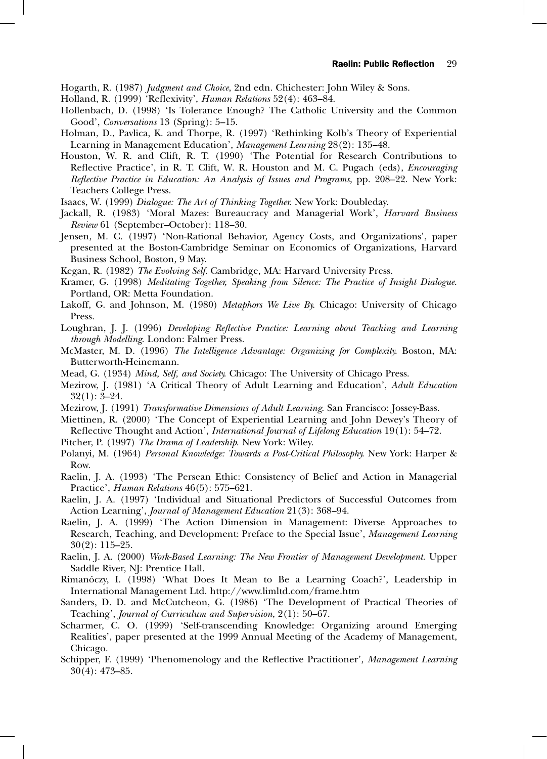Hogarth, R. (1987) *Judgment and Choice*, 2nd edn. Chichester: John Wiley & Sons.

Holland, R. (1999) 'Reflexivity', *Human Relations* 52(4): 463–84.

- Hollenbach, D. (1998) 'Is Tolerance Enough? The Catholic University and the Common Good', *Conversations* 13 (Spring): 5–15.
- Holman, D., Pavlica, K. and Thorpe, R. (1997) 'Rethinking Kolb's Theory of Experiential Learning in Management Education', *Management Learning* 28(2): 135–48.
- Houston, W. R. and Clift, R. T. (1990) 'The Potential for Research Contributions to Reflective Practice', in R. T. Clift, W. R. Houston and M. C. Pugach (eds), *Encouraging Reflective Practice in Education: An Analysis of Issues and Programs*, pp. 208–22. New York: Teachers College Press.
- Isaacs, W. (1999) *Dialogue: The Art of Thinking Together*. New York: Doubleday.
- Jackall, R. (1983) 'Moral Mazes: Bureaucracy and Managerial Work', *Harvard Business Review* 61 (September–October): 118–30.
- Jensen, M. C. (1997) 'Non-Rational Behavior, Agency Costs, and Organizations', paper presented at the Boston-Cambridge Seminar on Economics of Organizations, Harvard Business School, Boston, 9 May.
- Kegan, R. (1982) *The Evolving Self*. Cambridge, MA: Harvard University Press.
- Kramer, G. (1998) *Meditating Together, Speaking from Silence: The Practice of Insight Dialogue*. Portland, OR: Metta Foundation.
- Lakoff, G. and Johnson, M. (1980) *Metaphors We Live By*. Chicago: University of Chicago Press.
- Loughran, J. J. (1996) *Developing Reflective Practice: Learning about Teaching and Learning through Modelling*. London: Falmer Press.
- McMaster, M. D. (1996) *The Intelligence Advantage: Organizing for Complexity*. Boston, MA: Butterworth-Heinemann.
- Mead, G. (1934) *Mind, Self, and Society*. Chicago: The University of Chicago Press.
- Mezirow, J. (1981) 'A Critical Theory of Adult Learning and Education', *Adult Education* 32(1): 3–24.
- Mezirow, J. (1991) *Transformative Dimensions of Adult Learning*. San Francisco: Jossey-Bass.
- Miettinen, R. (2000) 'The Concept of Experiential Learning and John Dewey's Theory of Reflective Thought and Action', *International Journal of Lifelong Education* 19(1): 54–72.
- Pitcher, P. (1997) *The Drama of Leadership*. New York: Wiley.
- Polanyi, M. (1964) *Personal Knowledge: Towards a Post-Critical Philosophy*. New York: Harper & Row.
- Raelin, J. A. (1993) 'The Persean Ethic: Consistency of Belief and Action in Managerial Practice', *Human Relations* 46(5): 575–621.
- Raelin, J. A. (1997) 'Individual and Situational Predictors of Successful Outcomes from Action Learning', *Journal of Management Education* 21(3): 368–94.
- Raelin, J. A. (1999) 'The Action Dimension in Management: Diverse Approaches to Research, Teaching, and Development: Preface to the Special Issue', *Management Learning* 30(2): 115–25.
- Raelin, J. A. (2000) *Work-Based Learning: The New Frontier of Management Development*. Upper Saddle River, NJ: Prentice Hall.
- Rimanóczy, I. (1998) 'What Does It Mean to Be a Learning Coach?', Leadership in International Management Ltd. http://www.limltd.com/frame.htm
- Sanders, D. D. and McCutcheon, G. (1986) 'The Development of Practical Theories of Teaching', *Journal of Curriculum and Supervision*, 2(1): 50–67.
- Scharmer, C. O. (1999) 'Self-transcending Knowledge: Organizing around Emerging Realities', paper presented at the 1999 Annual Meeting of the Academy of Management, Chicago.
- Schipper, F. (1999) 'Phenomenology and the Reflective Practitioner', *Management Learning* 30(4): 473–85.